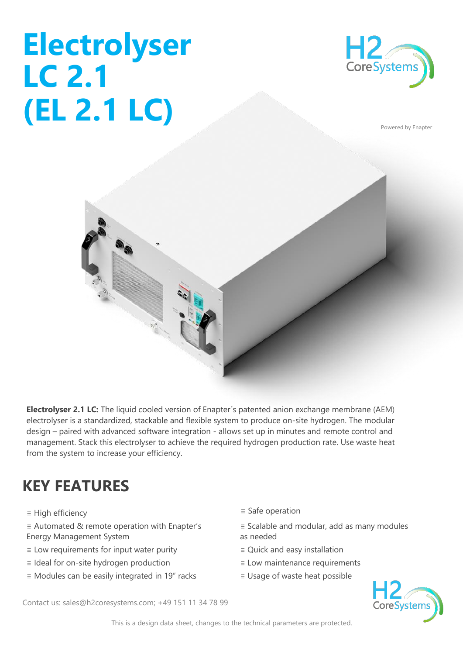## **Electrolyser LC 2.1 (EL 2.1 LC)**



Powered by Enapter



**Electrolyser 2.1 LC:** The liquid cooled version of Enapter´s patented anion exchange membrane (AEM) electrolyser is a standardized, stackable and flexible system to produce on-site hydrogen. The modular design – paired with advanced software integration - allows set up in minutes and remote control and management. Stack this electrolyser to achieve the required hydrogen production rate. Use waste heat from the system to increase your efficiency.

## **KEY FEATURES**

- ≡ High efficiency ≡ Safe operation
- ≡ Automated & remote operation with Enapter's Energy Management System
- ≡ Low requirements for input water purity ≡ Quick and easy installation
- ≡ Ideal for on-site hydrogen production ≡ Low maintenance requirements
- ≡ Modules can be easily integrated in 19" racks ≡ Usage of waste heat possible
- 
- ≡ Scalable and modular, add as many modules as needed
- 
- 
- 



Contact us: sales@h2coresystems.com; +49 151 11 34 78 99